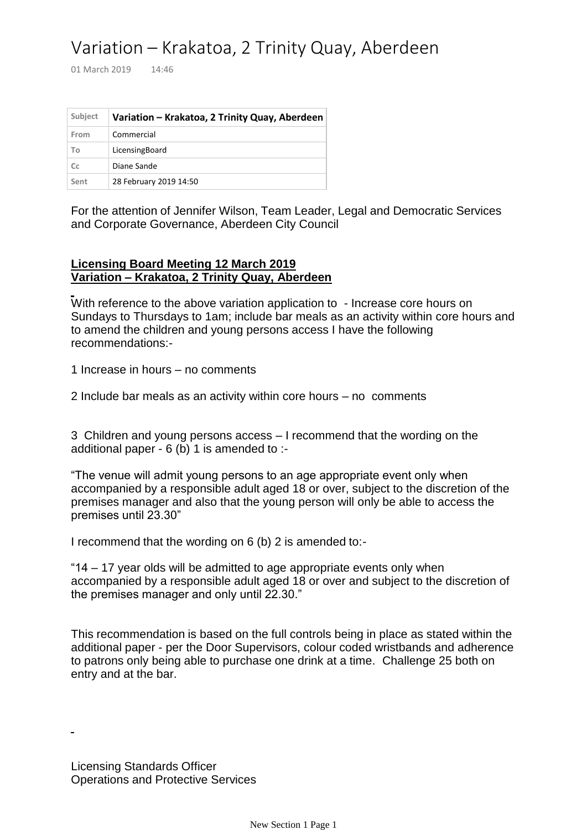## Variation – Krakatoa, 2 Trinity Quay, Aberdeen

01 March 2019 14:46

| Subject | Variation - Krakatoa, 2 Trinity Quay, Aberdeen |
|---------|------------------------------------------------|
| From    | Commercial                                     |
| To      | LicensingBoard                                 |
| Cc      | Diane Sande                                    |
| Sent    | 28 February 2019 14:50                         |

For the attention of Jennifer Wilson, Team Leader, Legal and Democratic Services and Corporate Governance, Aberdeen City Council

## **Licensing Board Meeting 12 March 2019 Variation – Krakatoa, 2 Trinity Quay, Aberdeen**

With reference to the above variation application to - Increase core hours on Sundays to Thursdays to 1am; include bar meals as an activity within core hours and to amend the children and young persons access I have the following recommendations:-

1 Increase in hours – no comments

2 Include bar meals as an activity within core hours – no comments

3 Children and young persons access – I recommend that the wording on the additional paper - 6 (b) 1 is amended to :-

"The venue will admit young persons to an age appropriate event only when accompanied by a responsible adult aged 18 or over, subject to the discretion of the premises manager and also that the young person will only be able to access the premises until 23.30"

I recommend that the wording on 6 (b) 2 is amended to:-

"14 – 17 year olds will be admitted to age appropriate events only when accompanied by a responsible adult aged 18 or over and subject to the discretion of the premises manager and only until 22.30."

This recommendation is based on the full controls being in place as stated within the additional paper - per the Door Supervisors, colour coded wristbands and adherence to patrons only being able to purchase one drink at a time. Challenge 25 both on entry and at the bar.

Licensing Standards Officer Operations and Protective Services